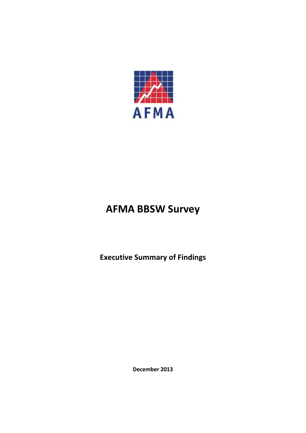

#### **AFMA BBSW Survey**

**Executive Summary of Findings**

**December 2013**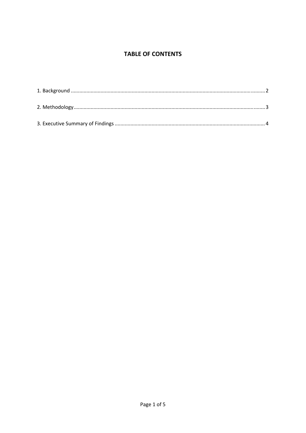#### **TABLE OF CONTENTS**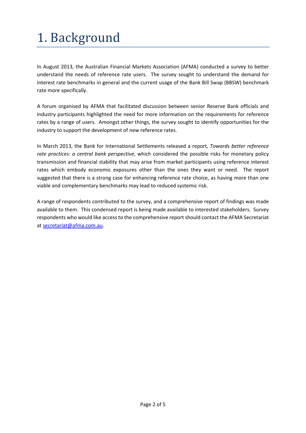# 1. Background

In August 2013, the Australian Financial Markets Association (AFMA) conducted a survey to better understand the needs of reference rate users. The survey sought to understand the demand for interest rate benchmarks in general and the current usage of the Bank Bill Swap (BBSW) benchmark rate more specifically.

A forum organised by AFMA that facilitated discussion between senior Reserve Bank officials and industry participants highlighted the need for more information on the requirements for reference rates by a range of users. Amongst other things, the survey sought to identify opportunities for the industry to support the development of new reference rates.

In March 2013, the Bank for International Settlements released a report, *Towards better reference rate practices: a central bank perspective*, which considered the possible risks for monetary policy transmission and financial stability that may arise from market participants using reference interest rates which embody economic exposures other than the ones they want or need. The report suggested that there is a strong case for enhancing reference rate choice, as having more than one viable and complementary benchmarks may lead to reduced systemic risk.

A range of respondents contributed to the survey, and a comprehensive report of findings was made available to them. This condensed report is being made available to interested stakeholders. Survey respondents who would like access to the comprehensive reportshould contact the AFMA Secretariat at secretariat@afma.com.au.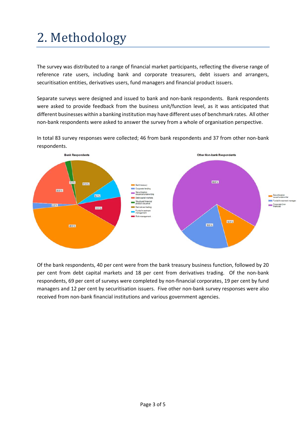## 2. Methodology

The survey was distributed to a range of financial market participants, reflecting the diverse range of reference rate users, including bank and corporate treasurers, debt issuers and arrangers, securitisation entities, derivatives users, fund managers and financial product issuers.

Separate surveys were designed and issued to bank and non‐bank respondents. Bank respondents were asked to provide feedback from the business unit/function level, as it was anticipated that different businesses within a banking institution may have different uses of benchmark rates. All other non‐bank respondents were asked to answer the survey from a whole of organisation perspective.



In total 83 survey responses were collected; 46 from bank respondents and 37 from other non‐bank respondents.

Of the bank respondents, 40 per cent were from the bank treasury business function, followed by 20 per cent from debt capital markets and 18 per cent from derivatives trading. Of the non-bank respondents, 69 per cent of surveys were completed by non-financial corporates, 19 per cent by fund managers and 12 per cent by securitisation issuers. Five other non-bank survey responses were also received from non-bank financial institutions and various government agencies.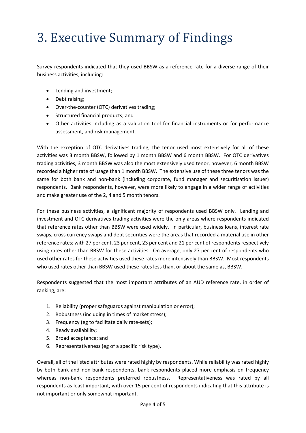### 3. Executive Summary of Findings

Survey respondents indicated that they used BBSW as a reference rate for a diverse range of their business activities, including:

- Lending and investment;
- Debt raising;
- Over-the-counter (OTC) derivatives trading;
- Structured financial products; and
- Other activities including as a valuation tool for financial instruments or for performance assessment, and risk management.

With the exception of OTC derivatives trading, the tenor used most extensively for all of these activities was 3 month BBSW, followed by 1 month BBSW and 6 month BBSW. For OTC derivatives trading activities, 3 month BBSW was also the most extensively used tenor, however, 6 month BBSW recorded a higher rate of usage than 1 month BBSW. The extensive use of these three tenors was the same for both bank and non-bank (including corporate, fund manager and securitisation issuer) respondents. Bank respondents, however, were more likely to engage in a wider range of activities and make greater use of the 2, 4 and 5 month tenors.

For these business activities, a significant majority of respondents used BBSW only. Lending and investment and OTC derivatives trading activities were the only areas where respondents indicated that reference rates other than BBSW were used widely. In particular, business loans, interest rate swaps, cross currency swaps and debt securities were the areas that recorded a material use in other reference rates; with 27 per cent, 23 per cent, 23 per cent and 21 per cent of respondents respectively using rates other than BBSW for these activities. On average, only 27 per cent of respondents who used other rates for these activities used these rates more intensively than BBSW. Most respondents who used rates other than BBSW used these rates less than, or about the same as, BBSW.

Respondents suggested that the most important attributes of an AUD reference rate, in order of ranking, are:

- 1. Reliability (proper safeguards against manipulation or error);
- 2. Robustness (including in times of market stress);
- 3. Frequency (eg to facilitate daily rate‐sets);
- 4. Ready availability;
- 5. Broad acceptance; and
- 6. Representativeness (eg of a specific risk type).

Overall, all of the listed attributes were rated highly by respondents. While reliability was rated highly by both bank and non‐bank respondents, bank respondents placed more emphasis on frequency whereas non-bank respondents preferred robustness. Representativeness was rated by all respondents as least important, with over 15 per cent of respondents indicating that this attribute is not important or only somewhat important.